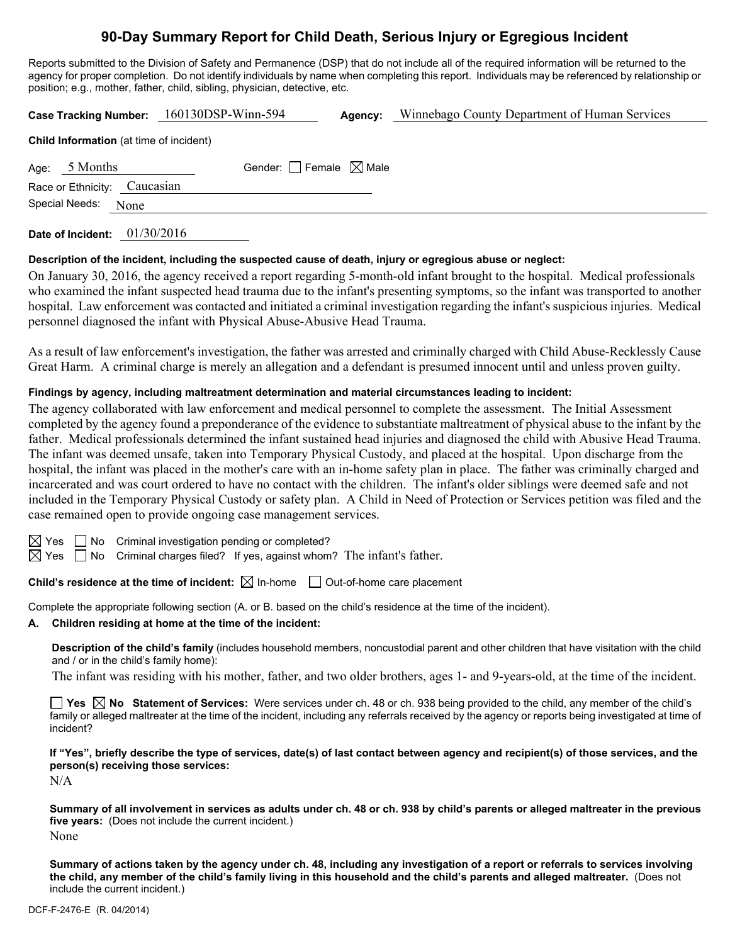# **90-Day Summary Report for Child Death, Serious Injury or Egregious Incident**

Reports submitted to the Division of Safety and Permanence (DSP) that do not include all of the required information will be returned to the agency for proper completion. Do not identify individuals by name when completing this report. Individuals may be referenced by relationship or position; e.g., mother, father, child, sibling, physician, detective, etc.

**Case Tracking Number:** 160130DSP-Winn-594 **Agency:** Winnebago County Department of Human Services

|                     | <b>Child Information</b> (at time of incluent) |                                        |  |
|---------------------|------------------------------------------------|----------------------------------------|--|
| Age: $5$ Months     |                                                | Gender: $\Box$ Female $\boxtimes$ Male |  |
|                     | Race or Ethnicity: Caucasian                   |                                        |  |
| Special Needs: None |                                                |                                        |  |
|                     |                                                |                                        |  |

**Date of Incident:** 01/30/2016

**Child Information** (at time of incident)

## **Description of the incident, including the suspected cause of death, injury or egregious abuse or neglect:**

On January 30, 2016, the agency received a report regarding 5-month-old infant brought to the hospital. Medical professionals who examined the infant suspected head trauma due to the infant's presenting symptoms, so the infant was transported to another hospital. Law enforcement was contacted and initiated a criminal investigation regarding the infant's suspicious injuries. Medical personnel diagnosed the infant with Physical Abuse-Abusive Head Trauma.

As a result of law enforcement's investigation, the father was arrested and criminally charged with Child Abuse-Recklessly Cause Great Harm. A criminal charge is merely an allegation and a defendant is presumed innocent until and unless proven guilty.

## **Findings by agency, including maltreatment determination and material circumstances leading to incident:**

The agency collaborated with law enforcement and medical personnel to complete the assessment. The Initial Assessment completed by the agency found a preponderance of the evidence to substantiate maltreatment of physical abuse to the infant by the father. Medical professionals determined the infant sustained head injuries and diagnosed the child with Abusive Head Trauma. The infant was deemed unsafe, taken into Temporary Physical Custody, and placed at the hospital. Upon discharge from the hospital, the infant was placed in the mother's care with an in-home safety plan in place. The father was criminally charged and incarcerated and was court ordered to have no contact with the children. The infant's older siblings were deemed safe and not included in the Temporary Physical Custody or safety plan. A Child in Need of Protection or Services petition was filed and the case remained open to provide ongoing case management services.

 $\Box$  No Criminal investigation pending or completed?

 $\Box$  No Criminal charges filed? If yes, against whom? The infant's father.

**Child's residence at the time of incident:**  $\boxtimes$  In-home  $\Box$  Out-of-home care placement

Complete the appropriate following section (A. or B. based on the child's residence at the time of the incident).

## **A. Children residing at home at the time of the incident:**

**Description of the child's family** (includes household members, noncustodial parent and other children that have visitation with the child and / or in the child's family home):

The infant was residing with his mother, father, and two older brothers, ages 1- and 9-years-old, at the time of the incident.

**Yes No Statement of Services:** Were services under ch. 48 or ch. 938 being provided to the child, any member of the child's family or alleged maltreater at the time of the incident, including any referrals received by the agency or reports being investigated at time of incident?

**If "Yes", briefly describe the type of services, date(s) of last contact between agency and recipient(s) of those services, and the person(s) receiving those services:** 

N/A

**Summary of all involvement in services as adults under ch. 48 or ch. 938 by child's parents or alleged maltreater in the previous five years:** (Does not include the current incident.) None

**Summary of actions taken by the agency under ch. 48, including any investigation of a report or referrals to services involving the child, any member of the child's family living in this household and the child's parents and alleged maltreater.** (Does not include the current incident.)